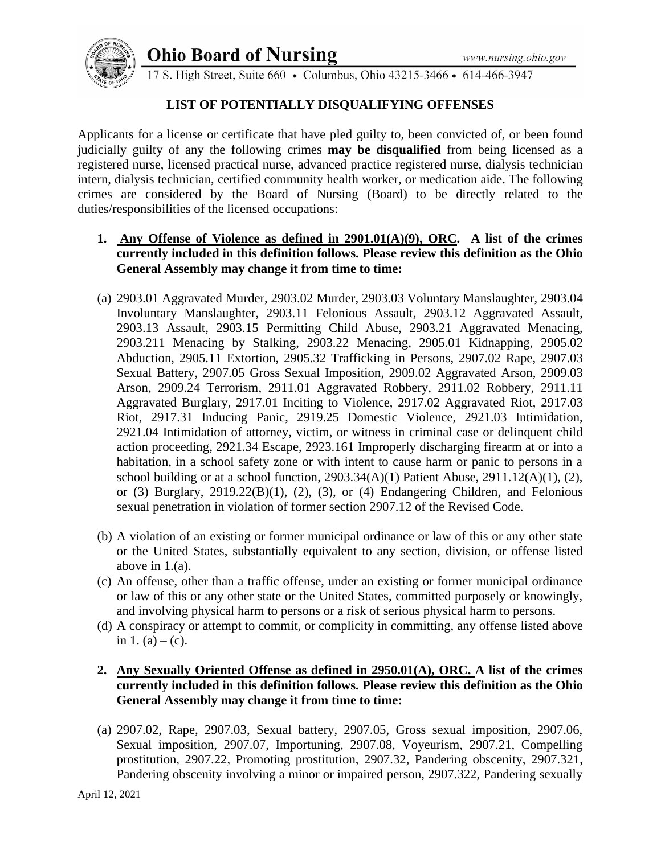# **Ohio Board of Nursing**



17 S. High Street, Suite 660 • Columbus, Ohio 43215-3466 • 614-466-3947

## **LIST OF POTENTIALLY DISQUALIFYING OFFENSES**

Applicants for a license or certificate that have pled guilty to, been convicted of, or been found judicially guilty of any the following crimes **may be disqualified** from being licensed as a registered nurse, licensed practical nurse, advanced practice registered nurse, dialysis technician intern, dialysis technician, certified community health worker, or medication aide. The following crimes are considered by the Board of Nursing (Board) to be directly related to the duties/responsibilities of the licensed occupations:

- **1. Any Offense of Violence as defined in 2901.01(A)(9), ORC. A list of the crimes currently included in this definition follows. Please review this definition as the Ohio General Assembly may change it from time to time:**
- (a) 2903.01 Aggravated Murder, 2903.02 Murder, 2903.03 Voluntary Manslaughter, 2903.04 Involuntary Manslaughter, 2903.11 Felonious Assault, 2903.12 Aggravated Assault, 2903.13 Assault, 2903.15 Permitting Child Abuse, 2903.21 Aggravated Menacing, 2903.211 Menacing by Stalking, 2903.22 Menacing, 2905.01 Kidnapping, 2905.02 Abduction, 2905.11 Extortion, 2905.32 Trafficking in Persons, 2907.02 Rape, 2907.03 Sexual Battery, 2907.05 Gross Sexual Imposition, 2909.02 Aggravated Arson, 2909.03 Arson, 2909.24 Terrorism, 2911.01 Aggravated Robbery, 2911.02 Robbery, 2911.11 Aggravated Burglary, 2917.01 Inciting to Violence, 2917.02 Aggravated Riot, 2917.03 Riot, 2917.31 Inducing Panic, 2919.25 Domestic Violence, 2921.03 Intimidation, 2921.04 Intimidation of attorney, victim, or witness in criminal case or delinquent child action proceeding, 2921.34 Escape, 2923.161 Improperly discharging firearm at or into a habitation, in a school safety zone or with intent to cause harm or panic to persons in a school building or at a school function,  $2903.34(A)(1)$  Patient Abuse,  $2911.12(A)(1)$ ,  $(2)$ , or  $(3)$  Burglary,  $2919.22(B)(1)$ ,  $(2)$ ,  $(3)$ , or  $(4)$  Endangering Children, and Felonious sexual penetration in violation of former section 2907.12 of the Revised Code.
- (b) A violation of an existing or former municipal ordinance or law of this or any other state or the United States, substantially equivalent to any section, division, or offense listed above in 1.(a).
- (c) An offense, other than a traffic offense, under an existing or former municipal ordinance or law of this or any other state or the United States, committed purposely or knowingly, and involving physical harm to persons or a risk of serious physical harm to persons.
- (d) A conspiracy or attempt to commit, or complicity in committing, any offense listed above in 1. (a) – (c).
- **2. Any Sexually Oriented Offense as defined in 2950.01(A), ORC. A list of the crimes currently included in this definition follows. Please review this definition as the Ohio General Assembly may change it from time to time:**
- (a) 2907.02, Rape, 2907.03, Sexual battery, 2907.05, Gross sexual imposition, 2907.06, Sexual imposition, 2907.07, Importuning, 2907.08, Voyeurism, 2907.21, Compelling prostitution, 2907.22, Promoting prostitution, 2907.32, Pandering obscenity, 2907.321, Pandering obscenity involving a minor or impaired person, 2907.322, Pandering sexually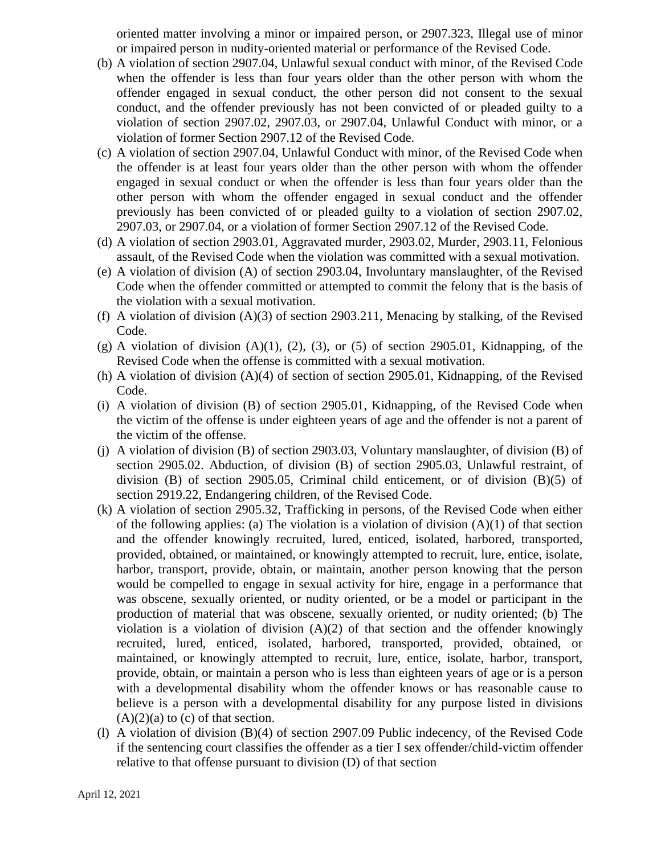oriented matter involving a minor or impaired person, or 2907.323, Illegal use of minor or impaired person in nudity-oriented material or performance of the Revised Code.

- (b) A violation of section 2907.04, Unlawful sexual conduct with minor, of the Revised Code when the offender is less than four years older than the other person with whom the offender engaged in sexual conduct, the other person did not consent to the sexual conduct, and the offender previously has not been convicted of or pleaded guilty to a violation of section 2907.02, 2907.03, or 2907.04, Unlawful Conduct with minor, or a violation of former Section 2907.12 of the Revised Code.
- (c) A violation of section 2907.04, Unlawful Conduct with minor, of the Revised Code when the offender is at least four years older than the other person with whom the offender engaged in sexual conduct or when the offender is less than four years older than the other person with whom the offender engaged in sexual conduct and the offender previously has been convicted of or pleaded guilty to a violation of section 2907.02, 2907.03, or 2907.04, or a violation of former Section 2907.12 of the Revised Code.
- (d) A violation of section 2903.01, Aggravated murder, 2903.02, Murder, 2903.11, Felonious assault, of the Revised Code when the violation was committed with a sexual motivation.
- (e) A violation of division (A) of section 2903.04, Involuntary manslaughter, of the Revised Code when the offender committed or attempted to commit the felony that is the basis of the violation with a sexual motivation.
- (f) A violation of division  $(A)(3)$  of section 2903.211, Menacing by stalking, of the Revised Code.
- $(g)$  A violation of division  $(A)(1)$ ,  $(2)$ ,  $(3)$ , or  $(5)$  of section 2905.01, Kidnapping, of the Revised Code when the offense is committed with a sexual motivation.
- (h) A violation of division (A)(4) of section of section 2905.01, Kidnapping, of the Revised Code.
- (i) A violation of division (B) of section 2905.01, Kidnapping, of the Revised Code when the victim of the offense is under eighteen years of age and the offender is not a parent of the victim of the offense.
- (j) A violation of division (B) of section 2903.03, Voluntary manslaughter, of division (B) of section 2905.02. Abduction, of division (B) of section 2905.03, Unlawful restraint, of division (B) of section 2905.05, Criminal child enticement, or of division (B)(5) of section 2919.22, Endangering children, of the Revised Code.
- (k) A violation of section 2905.32, Trafficking in persons, of the Revised Code when either of the following applies: (a) The violation is a violation of division  $(A)(1)$  of that section and the offender knowingly recruited, lured, enticed, isolated, harbored, transported, provided, obtained, or maintained, or knowingly attempted to recruit, lure, entice, isolate, harbor, transport, provide, obtain, or maintain, another person knowing that the person would be compelled to engage in sexual activity for hire, engage in a performance that was obscene, sexually oriented, or nudity oriented, or be a model or participant in the production of material that was obscene, sexually oriented, or nudity oriented; (b) The violation is a violation of division  $(A)(2)$  of that section and the offender knowingly recruited, lured, enticed, isolated, harbored, transported, provided, obtained, or maintained, or knowingly attempted to recruit, lure, entice, isolate, harbor, transport, provide, obtain, or maintain a person who is less than eighteen years of age or is a person with a developmental disability whom the offender knows or has reasonable cause to believe is a person with a developmental disability for any purpose listed in divisions  $(A)(2)(a)$  to  $(c)$  of that section.
- (l) A violation of division (B)(4) of section 2907.09 Public indecency, of the Revised Code if the sentencing court classifies the offender as a tier I sex offender/child-victim offender relative to that offense pursuant to division (D) of that section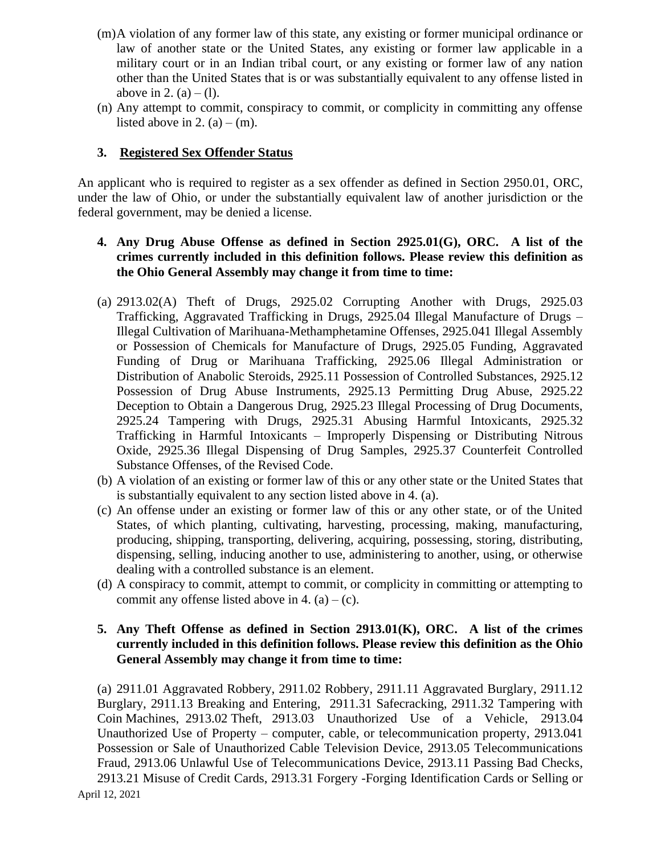- (m)A violation of any former law of this state, any existing or former municipal ordinance or law of another state or the United States, any existing or former law applicable in a military court or in an Indian tribal court, or any existing or former law of any nation other than the United States that is or was substantially equivalent to any offense listed in above in 2. (a) – (1).
- (n) Any attempt to commit, conspiracy to commit, or complicity in committing any offense listed above in 2. (a) – (m).

## **3. Registered Sex Offender Status**

An applicant who is required to register as a sex offender as defined in Section 2950.01, ORC, under the law of Ohio, or under the substantially equivalent law of another jurisdiction or the federal government, may be denied a license.

### **4. Any Drug Abuse Offense as defined in Section 2925.01(G), ORC. A list of the crimes currently included in this definition follows. Please review this definition as the Ohio General Assembly may change it from time to time:**

- (a) 2913.02(A) Theft of Drugs, 2925.02 Corrupting Another with Drugs, 2925.03 Trafficking, Aggravated Trafficking in Drugs, 2925.04 Illegal Manufacture of Drugs – Illegal Cultivation of Marihuana-Methamphetamine Offenses, 2925.041 Illegal Assembly or Possession of Chemicals for Manufacture of Drugs, 2925.05 Funding, Aggravated Funding of Drug or Marihuana Trafficking, 2925.06 Illegal Administration or Distribution of Anabolic Steroids, 2925.11 Possession of Controlled Substances, 2925.12 Possession of Drug Abuse Instruments, 2925.13 Permitting Drug Abuse, 2925.22 Deception to Obtain a Dangerous Drug, 2925.23 Illegal Processing of Drug Documents, 2925.24 Tampering with Drugs, 2925.31 Abusing Harmful Intoxicants, 2925.32 Trafficking in Harmful Intoxicants – Improperly Dispensing or Distributing Nitrous Oxide, 2925.36 Illegal Dispensing of Drug Samples, 2925.37 Counterfeit Controlled Substance Offenses, of the Revised Code.
- (b) A violation of an existing or former law of this or any other state or the United States that is substantially equivalent to any section listed above in 4. (a).
- (c) An offense under an existing or former law of this or any other state, or of the United States, of which planting, cultivating, harvesting, processing, making, manufacturing, producing, shipping, transporting, delivering, acquiring, possessing, storing, distributing, dispensing, selling, inducing another to use, administering to another, using, or otherwise dealing with a controlled substance is an element.
- (d) A conspiracy to commit, attempt to commit, or complicity in committing or attempting to commit any offense listed above in 4.  $(a) - (c)$ .

## **5. Any Theft Offense as defined in Section 2913.01(K), ORC. A list of the crimes currently included in this definition follows. Please review this definition as the Ohio General Assembly may change it from time to time:**

(a) 2911.01 Aggravated Robbery, 2911.02 Robbery, 2911.11 Aggravated Burglary, 2911.12 Burglary, 2911.13 Breaking and Entering, 2911.31 Safecracking, 2911.32 Tampering with Coin Machines, 2913.02 Theft, 2913.03 Unauthorized Use of a Vehicle, 2913.04 Unauthorized Use of Property – computer, cable, or telecommunication property, 2913.041 Possession or Sale of Unauthorized Cable Television Device, 2913.05 Telecommunications Fraud, 2913.06 Unlawful Use of Telecommunications Device, 2913.11 Passing Bad Checks, 2913.21 Misuse of Credit Cards, 2913.31 Forgery -Forging Identification Cards or Selling or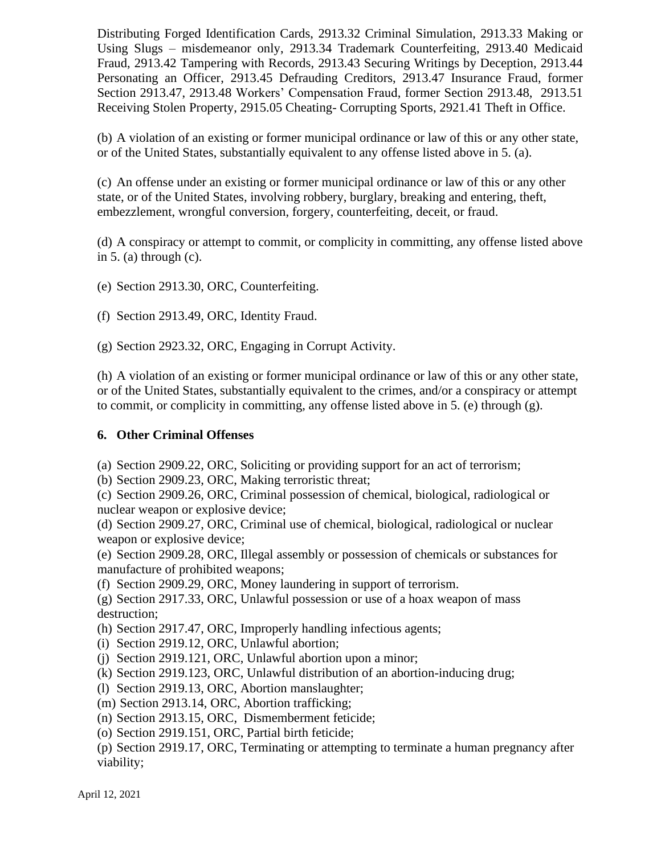Distributing Forged Identification Cards, 2913.32 Criminal Simulation, 2913.33 Making or Using Slugs – misdemeanor only, 2913.34 Trademark Counterfeiting, 2913.40 Medicaid Fraud, 2913.42 Tampering with Records, 2913.43 Securing Writings by Deception, 2913.44 Personating an Officer, 2913.45 Defrauding Creditors, 2913.47 Insurance Fraud, former Section 2913.47, 2913.48 Workers' Compensation Fraud, former Section 2913.48, 2913.51 Receiving Stolen Property, 2915.05 Cheating- Corrupting Sports, 2921.41 Theft in Office.

(b) A violation of an existing or former municipal ordinance or law of this or any other state, or of the United States, substantially equivalent to any offense listed above in 5. (a).

(c) An offense under an existing or former municipal ordinance or law of this or any other state, or of the United States, involving robbery, burglary, breaking and entering, theft, embezzlement, wrongful conversion, forgery, counterfeiting, deceit, or fraud.

(d) A conspiracy or attempt to commit, or complicity in committing, any offense listed above in 5. (a) through  $(c)$ .

(e) Section 2913.30, ORC, Counterfeiting.

(f) Section 2913.49, ORC, Identity Fraud.

(g) Section 2923.32, ORC, Engaging in Corrupt Activity.

(h) A violation of an existing or former municipal ordinance or law of this or any other state, or of the United States, substantially equivalent to the crimes, and/or a conspiracy or attempt to commit, or complicity in committing, any offense listed above in 5. (e) through (g).

## **6. Other Criminal Offenses**

(a) Section 2909.22, ORC, Soliciting or providing support for an act of terrorism;

(b) Section 2909.23, ORC, Making terroristic threat;

(c) Section 2909.26, ORC, Criminal possession of chemical, biological, radiological or nuclear weapon or explosive device;

(d) Section 2909.27, ORC, Criminal use of chemical, biological, radiological or nuclear weapon or explosive device;

(e) Section 2909.28, ORC, Illegal assembly or possession of chemicals or substances for manufacture of prohibited weapons;

(f) Section 2909.29, ORC, Money laundering in support of terrorism.

(g) Section 2917.33, ORC, Unlawful possession or use of a hoax weapon of mass destruction;

(h) Section 2917.47, ORC, Improperly handling infectious agents;

(i) Section 2919.12, ORC, Unlawful abortion;

(j) Section 2919.121, ORC, Unlawful abortion upon a minor;

(k) Section 2919.123, ORC, Unlawful distribution of an abortion-inducing drug;

(l) Section 2919.13, ORC, Abortion manslaughter;

(m) Section 2913.14, ORC, Abortion trafficking;

(n) Section 2913.15, ORC, Dismemberment feticide;

(o) Section 2919.151, ORC, Partial birth feticide;

(p) Section 2919.17, ORC, Terminating or attempting to terminate a human pregnancy after viability;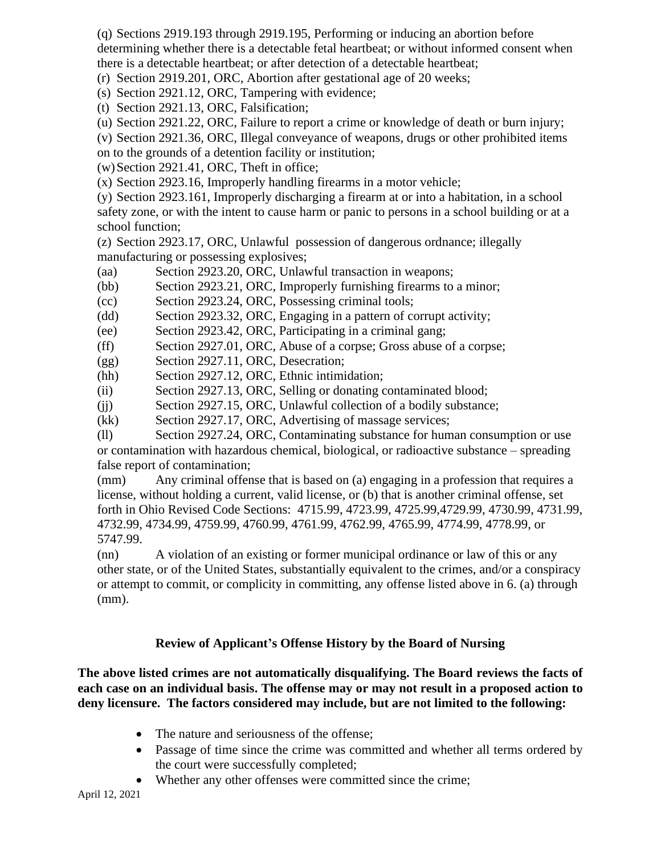(q) Sections 2919.193 through 2919.195, Performing or inducing an abortion before determining whether there is a detectable fetal heartbeat; or without informed consent when there is a detectable heartbeat; or after detection of a detectable heartbeat;

(r) Section 2919.201, ORC, Abortion after gestational age of 20 weeks;

(s) Section 2921.12, ORC, Tampering with evidence;

(t) Section 2921.13, ORC, Falsification;

(u) Section 2921.22, ORC, Failure to report a crime or knowledge of death or burn injury;

(v) Section 2921.36, ORC, Illegal conveyance of weapons, drugs or other prohibited items

on to the grounds of a detention facility or institution;

(w)Section 2921.41, ORC, Theft in office;

(x) Section 2923.16, Improperly handling firearms in a motor vehicle;

(y) Section 2923.161, Improperly discharging a firearm at or into a habitation, in a school safety zone, or with the intent to cause harm or panic to persons in a school building or at a school function;

(z) Section 2923.17, ORC, Unlawful possession of dangerous ordnance; illegally manufacturing or possessing explosives;

(aa) Section 2923.20, ORC, Unlawful transaction in weapons;

(bb) Section 2923.21, ORC, Improperly furnishing firearms to a minor;

(cc) Section 2923.24, ORC, Possessing criminal tools;

- (dd) Section 2923.32, ORC, Engaging in a pattern of corrupt activity;
- (ee) Section 2923.42, ORC, Participating in a criminal gang;
- (ff) Section 2927.01, ORC, Abuse of a corpse; Gross abuse of a corpse;
- (gg) Section 2927.11, ORC, Desecration;
- (hh) Section 2927.12, ORC, Ethnic intimidation;
- (ii) Section 2927.13, ORC, Selling or donating contaminated blood;
- (jj) Section 2927.15, ORC, Unlawful collection of a bodily substance;
- (kk) Section 2927.17, ORC, Advertising of massage services;

(ll) Section 2927.24, ORC, Contaminating substance for human consumption or use or contamination with hazardous chemical, biological, or radioactive substance – spreading false report of contamination;

(mm) Any criminal offense that is based on (a) engaging in a profession that requires a license, without holding a current, valid license, or (b) that is another criminal offense, set forth in Ohio Revised Code Sections: 4715.99, 4723.99, 4725.99,4729.99, 4730.99, 4731.99, 4732.99, 4734.99, 4759.99, 4760.99, 4761.99, 4762.99, 4765.99, 4774.99, 4778.99, or 5747.99.

(nn) A violation of an existing or former municipal ordinance or law of this or any other state, or of the United States, substantially equivalent to the crimes, and/or a conspiracy or attempt to commit, or complicity in committing, any offense listed above in 6. (a) through (mm).

# **Review of Applicant's Offense History by the Board of Nursing**

**The above listed crimes are not automatically disqualifying. The Board reviews the facts of each case on an individual basis. The offense may or may not result in a proposed action to deny licensure. The factors considered may include, but are not limited to the following:**

- The nature and seriousness of the offense;
- Passage of time since the crime was committed and whether all terms ordered by the court were successfully completed;
- Whether any other offenses were committed since the crime;